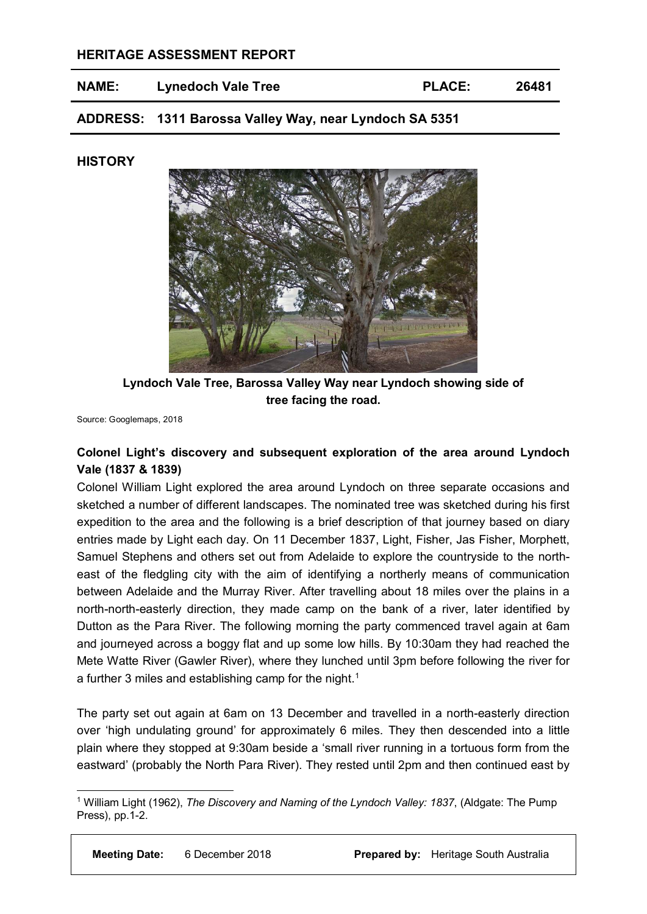## **HERITAGE ASSESSMENT REPORT**

| <b>NAME:</b> | <b>Lynedoch Vale Tree</b> | <b>PLACE:</b> | 26481 |
|--------------|---------------------------|---------------|-------|
|              |                           |               |       |

**ADDRESS: 1311 Barossa Valley Way, near Lyndoch SA 5351**

### **HISTORY**



**Lyndoch Vale Tree, Barossa Valley Way near Lyndoch showing side of tree facing the road.**

Source: Googlemaps, 2018

# **Colonel Light's discovery and subsequent exploration of the area around Lyndoch Vale (1837 & 1839)**

Colonel William Light explored the area around Lyndoch on three separate occasions and sketched a number of different landscapes. The nominated tree was sketched during his first expedition to the area and the following is a brief description of that journey based on diary entries made by Light each day. On 11 December 1837, Light, Fisher, Jas Fisher, Morphett, Samuel Stephens and others set out from Adelaide to explore the countryside to the northeast of the fledgling city with the aim of identifying a northerly means of communication between Adelaide and the Murray River. After travelling about 18 miles over the plains in a north-north-easterly direction, they made camp on the bank of a river, later identified by Dutton as the Para River. The following morning the party commenced travel again at 6am and journeyed across a boggy flat and up some low hills. By 10:30am they had reached the Mete Watte River (Gawler River), where they lunched until 3pm before following the river for a further 3 miles and establishing camp for the night.<sup>[1](#page-0-0)</sup>

The party set out again at 6am on 13 December and travelled in a north-easterly direction over 'high undulating ground' for approximately 6 miles. They then descended into a little plain where they stopped at 9:30am beside a 'small river running in a tortuous form from the eastward' (probably the North Para River). They rested until 2pm and then continued east by

<span id="page-0-0"></span> <sup>1</sup> William Light (1962), *The Discovery and Naming of the Lyndoch Valley: 1837*, (Aldgate: The Pump Press), pp.1-2.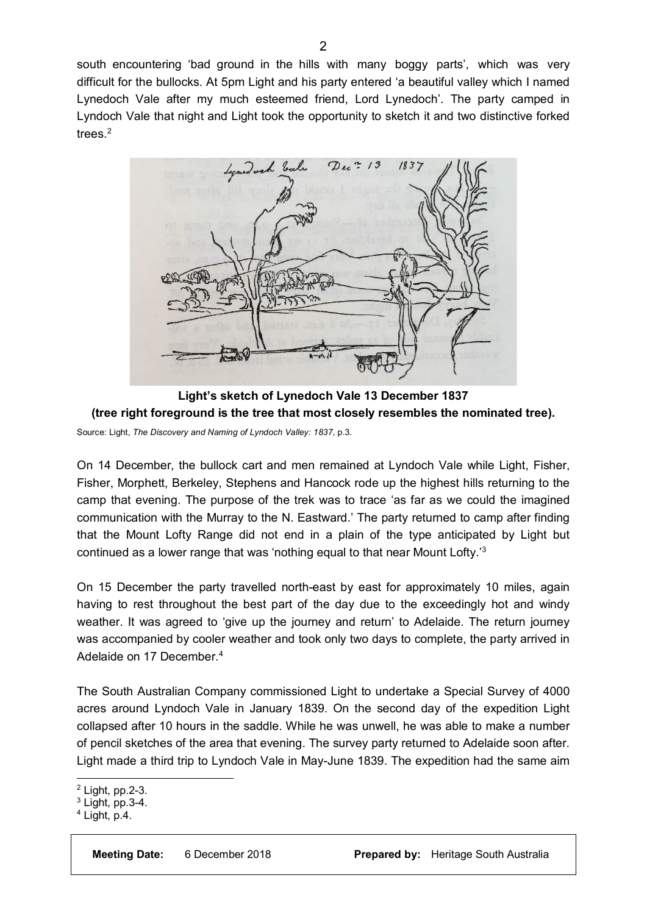south encountering 'bad ground in the hills with many boggy parts', which was very difficult for the bullocks. At 5pm Light and his party entered 'a beautiful valley which I named Lynedoch Vale after my much esteemed friend, Lord Lynedoch'. The party camped in Lyndoch Vale that night and Light took the opportunity to sketch it and two distinctive forked trees. [2](#page-1-0)



**Light's sketch of Lynedoch Vale 13 December 1837 (tree right foreground is the tree that most closely resembles the nominated tree).**  Source: Light, *The Discovery and Naming of Lyndoch Valley: 1837*, p.3.

On 14 December, the bullock cart and men remained at Lyndoch Vale while Light, Fisher, Fisher, Morphett, Berkeley, Stephens and Hancock rode up the highest hills returning to the camp that evening. The purpose of the trek was to trace 'as far as we could the imagined communication with the Murray to the N. Eastward.' The party returned to camp after finding that the Mount Lofty Range did not end in a plain of the type anticipated by Light but continued as a lower range that was 'nothing equal to that near Mount Lofty.'[3](#page-1-1)

On 15 December the party travelled north-east by east for approximately 10 miles, again having to rest throughout the best part of the day due to the exceedingly hot and windy weather. It was agreed to 'give up the journey and return' to Adelaide. The return journey was accompanied by cooler weather and took only two days to complete, the party arrived in Adelaide on 17 December.<sup>[4](#page-1-2)</sup>

The South Australian Company commissioned Light to undertake a Special Survey of 4000 acres around Lyndoch Vale in January 1839. On the second day of the expedition Light collapsed after 10 hours in the saddle. While he was unwell, he was able to make a number of pencil sketches of the area that evening. The survey party returned to Adelaide soon after. Light made a third trip to Lyndoch Vale in May-June 1839. The expedition had the same aim

<span id="page-1-0"></span> <sup>2</sup> Light, pp.2-3.

<span id="page-1-1"></span> $3$  Light, pp.  $3-4$ .

<span id="page-1-2"></span> $4$  Light, p.4.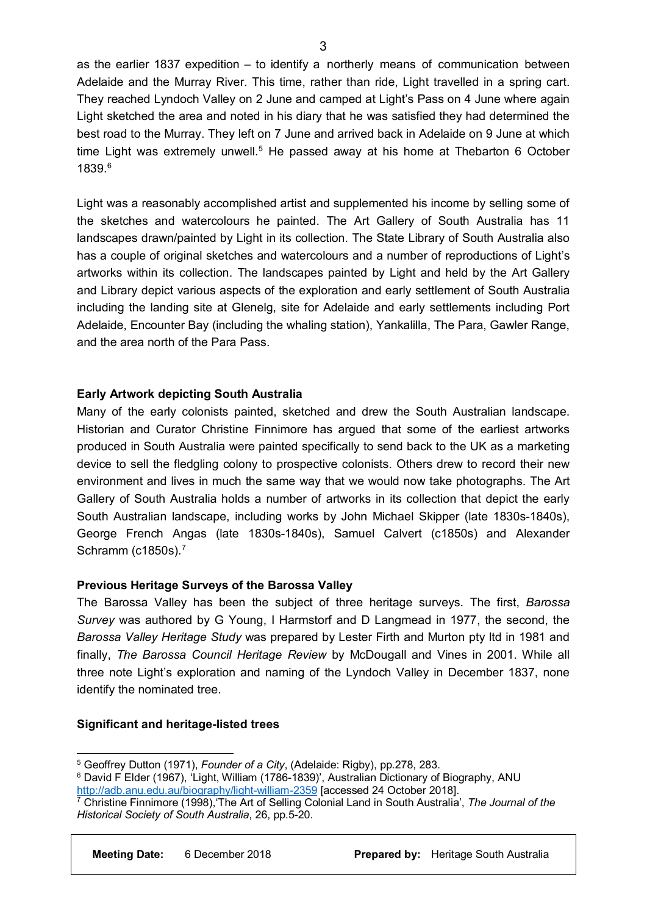as the earlier 1837 expedition – to identify a northerly means of communication between Adelaide and the Murray River. This time, rather than ride, Light travelled in a spring cart. They reached Lyndoch Valley on 2 June and camped at Light's Pass on 4 June where again Light sketched the area and noted in his diary that he was satisfied they had determined the best road to the Murray. They left on 7 June and arrived back in Adelaide on 9 June at which time Light was extremely unwell.<sup>[5](#page-2-0)</sup> He passed away at his home at Thebarton 6 October 1839 [6](#page-2-1)

Light was a reasonably accomplished artist and supplemented his income by selling some of the sketches and watercolours he painted. The Art Gallery of South Australia has 11 landscapes drawn/painted by Light in its collection. The State Library of South Australia also has a couple of original sketches and watercolours and a number of reproductions of Light's artworks within its collection. The landscapes painted by Light and held by the Art Gallery and Library depict various aspects of the exploration and early settlement of South Australia including the landing site at Glenelg, site for Adelaide and early settlements including Port Adelaide, Encounter Bay (including the whaling station), Yankalilla, The Para, Gawler Range, and the area north of the Para Pass.

### **Early Artwork depicting South Australia**

Many of the early colonists painted, sketched and drew the South Australian landscape. Historian and Curator Christine Finnimore has argued that some of the earliest artworks produced in South Australia were painted specifically to send back to the UK as a marketing device to sell the fledgling colony to prospective colonists. Others drew to record their new environment and lives in much the same way that we would now take photographs. The Art Gallery of South Australia holds a number of artworks in its collection that depict the early South Australian landscape, including works by John Michael Skipper (late 1830s-1840s), George French Angas (late 1830s-1840s), Samuel Calvert (c1850s) and Alexander Schramm (c1850s). [7](#page-2-2)

## **Previous Heritage Surveys of the Barossa Valley**

The Barossa Valley has been the subject of three heritage surveys. The first, *Barossa Survey* was authored by G Young, I Harmstorf and D Langmead in 1977, the second, the *Barossa Valley Heritage Study* was prepared by Lester Firth and Murton pty ltd in 1981 and finally, *The Barossa Council Heritage Review* by McDougall and Vines in 2001. While all three note Light's exploration and naming of the Lyndoch Valley in December 1837, none identify the nominated tree.

#### **Significant and heritage-listed trees**

<span id="page-2-0"></span> <sup>5</sup> Geoffrey Dutton (1971), *Founder of a City*, (Adelaide: Rigby), pp.278, 283.

<span id="page-2-1"></span><sup>&</sup>lt;sup>6</sup> David F Elder (1967), 'Light, William (1786-1839)', Australian Dictionary of Biography, ANU <http://adb.anu.edu.au/biography/light-william-2359> [accessed 24 October 2018].

<span id="page-2-2"></span><sup>7</sup> Christine Finnimore (1998),'The Art of Selling Colonial Land in South Australia', *The Journal of the Historical Society of South Australia*, 26, pp.5-20.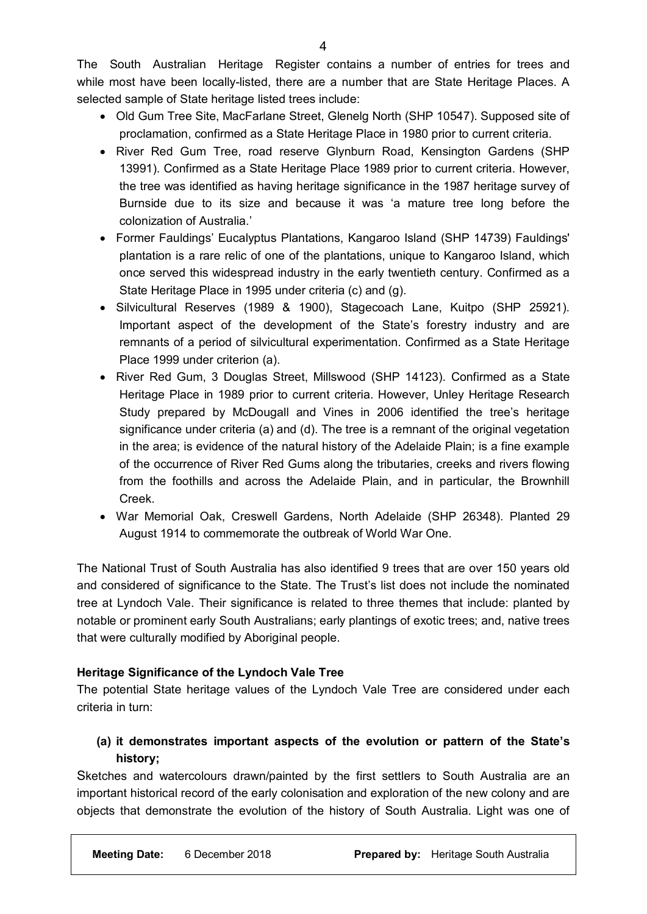The South Australian Heritage Register contains a number of entries for trees and while most have been locally-listed, there are a number that are State Heritage Places. A selected sample of State heritage listed trees include:

- Old Gum Tree Site, MacFarlane Street, Glenelg North (SHP 10547). Supposed site of proclamation, confirmed as a State Heritage Place in 1980 prior to current criteria.
- River Red Gum Tree, road reserve Glynburn Road, Kensington Gardens (SHP 13991). Confirmed as a State Heritage Place 1989 prior to current criteria. However, the tree was identified as having heritage significance in the 1987 heritage survey of Burnside due to its size and because it was 'a mature tree long before the colonization of Australia.'
- Former Fauldings' Eucalyptus Plantations, Kangaroo Island (SHP 14739) Fauldings' plantation is a rare relic of one of the plantations, unique to Kangaroo Island, which once served this widespread industry in the early twentieth century. Confirmed as a State Heritage Place in 1995 under criteria (c) and (g).
- Silvicultural Reserves (1989 & 1900), Stagecoach Lane, Kuitpo (SHP 25921). Important aspect of the development of the State's forestry industry and are remnants of a period of silvicultural experimentation. Confirmed as a State Heritage Place 1999 under criterion (a).
- River Red Gum, 3 Douglas Street, Millswood (SHP 14123). Confirmed as a State Heritage Place in 1989 prior to current criteria. However, Unley Heritage Research Study prepared by McDougall and Vines in 2006 identified the tree's heritage significance under criteria (a) and (d). The tree is a remnant of the original vegetation in the area; is evidence of the natural history of the Adelaide Plain; is a fine example of the occurrence of River Red Gums along the tributaries, creeks and rivers flowing from the foothills and across the Adelaide Plain, and in particular, the Brownhill Creek.
- War Memorial Oak, Creswell Gardens, North Adelaide (SHP 26348). Planted 29 August 1914 to commemorate the outbreak of World War One.

The National Trust of South Australia has also identified 9 trees that are over 150 years old and considered of significance to the State. The Trust's list does not include the nominated tree at Lyndoch Vale. Their significance is related to three themes that include: planted by notable or prominent early South Australians; early plantings of exotic trees; and, native trees that were culturally modified by Aboriginal people.

# **Heritage Significance of the Lyndoch Vale Tree**

The potential State heritage values of the Lyndoch Vale Tree are considered under each criteria in turn:

# **(a) it demonstrates important aspects of the evolution or pattern of the State's history;**

Sketches and watercolours drawn/painted by the first settlers to South Australia are an important historical record of the early colonisation and exploration of the new colony and are objects that demonstrate the evolution of the history of South Australia. Light was one of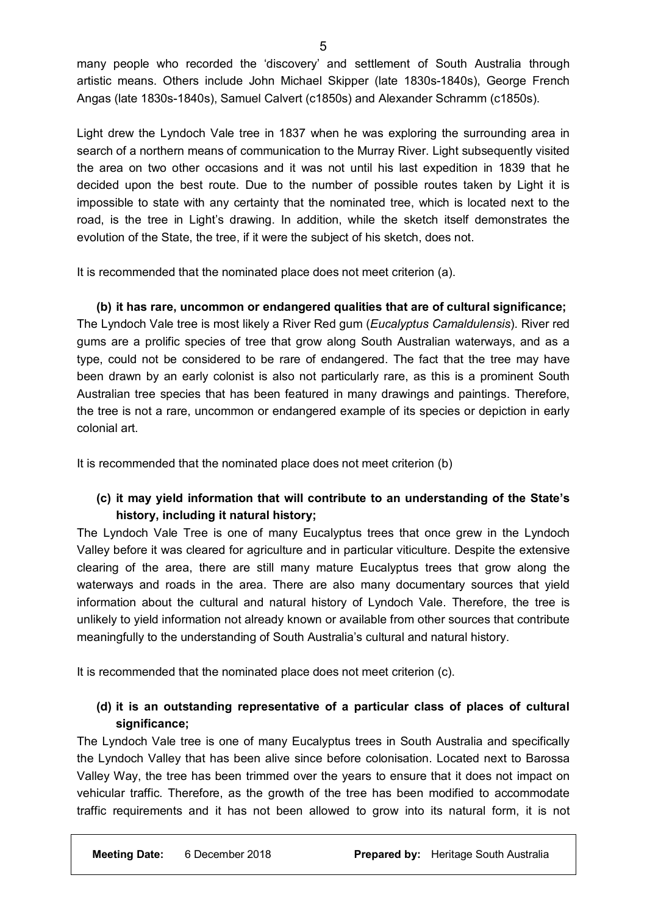many people who recorded the 'discovery' and settlement of South Australia through artistic means. Others include John Michael Skipper (late 1830s-1840s), George French Angas (late 1830s-1840s), Samuel Calvert (c1850s) and Alexander Schramm (c1850s).

Light drew the Lyndoch Vale tree in 1837 when he was exploring the surrounding area in search of a northern means of communication to the Murray River. Light subsequently visited the area on two other occasions and it was not until his last expedition in 1839 that he decided upon the best route. Due to the number of possible routes taken by Light it is impossible to state with any certainty that the nominated tree, which is located next to the road, is the tree in Light's drawing. In addition, while the sketch itself demonstrates the evolution of the State, the tree, if it were the subject of his sketch, does not.

It is recommended that the nominated place does not meet criterion (a).

**(b) it has rare, uncommon or endangered qualities that are of cultural significance;** The Lyndoch Vale tree is most likely a River Red gum (*Eucalyptus Camaldulensis*). River red gums are a prolific species of tree that grow along South Australian waterways, and as a type, could not be considered to be rare of endangered. The fact that the tree may have been drawn by an early colonist is also not particularly rare, as this is a prominent South Australian tree species that has been featured in many drawings and paintings. Therefore, the tree is not a rare, uncommon or endangered example of its species or depiction in early colonial art.

It is recommended that the nominated place does not meet criterion (b)

# **(c) it may yield information that will contribute to an understanding of the State's history, including it natural history;**

The Lyndoch Vale Tree is one of many Eucalyptus trees that once grew in the Lyndoch Valley before it was cleared for agriculture and in particular viticulture. Despite the extensive clearing of the area, there are still many mature Eucalyptus trees that grow along the waterways and roads in the area. There are also many documentary sources that yield information about the cultural and natural history of Lyndoch Vale. Therefore, the tree is unlikely to yield information not already known or available from other sources that contribute meaningfully to the understanding of South Australia's cultural and natural history.

It is recommended that the nominated place does not meet criterion (c).

# **(d) it is an outstanding representative of a particular class of places of cultural significance;**

The Lyndoch Vale tree is one of many Eucalyptus trees in South Australia and specifically the Lyndoch Valley that has been alive since before colonisation. Located next to Barossa Valley Way, the tree has been trimmed over the years to ensure that it does not impact on vehicular traffic. Therefore, as the growth of the tree has been modified to accommodate traffic requirements and it has not been allowed to grow into its natural form, it is not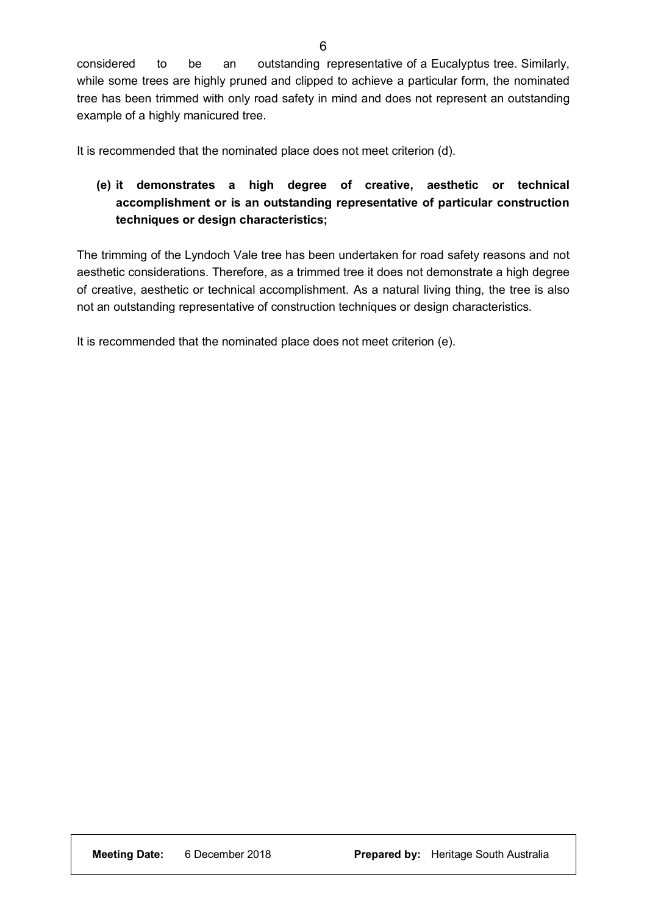considered to be an outstanding representative of a Eucalyptus tree. Similarly, while some trees are highly pruned and clipped to achieve a particular form, the nominated tree has been trimmed with only road safety in mind and does not represent an outstanding example of a highly manicured tree.

It is recommended that the nominated place does not meet criterion (d).

# **(e) it demonstrates a high degree of creative, aesthetic or technical accomplishment or is an outstanding representative of particular construction techniques or design characteristics;**

The trimming of the Lyndoch Vale tree has been undertaken for road safety reasons and not aesthetic considerations. Therefore, as a trimmed tree it does not demonstrate a high degree of creative, aesthetic or technical accomplishment. As a natural living thing, the tree is also not an outstanding representative of construction techniques or design characteristics.

It is recommended that the nominated place does not meet criterion (e).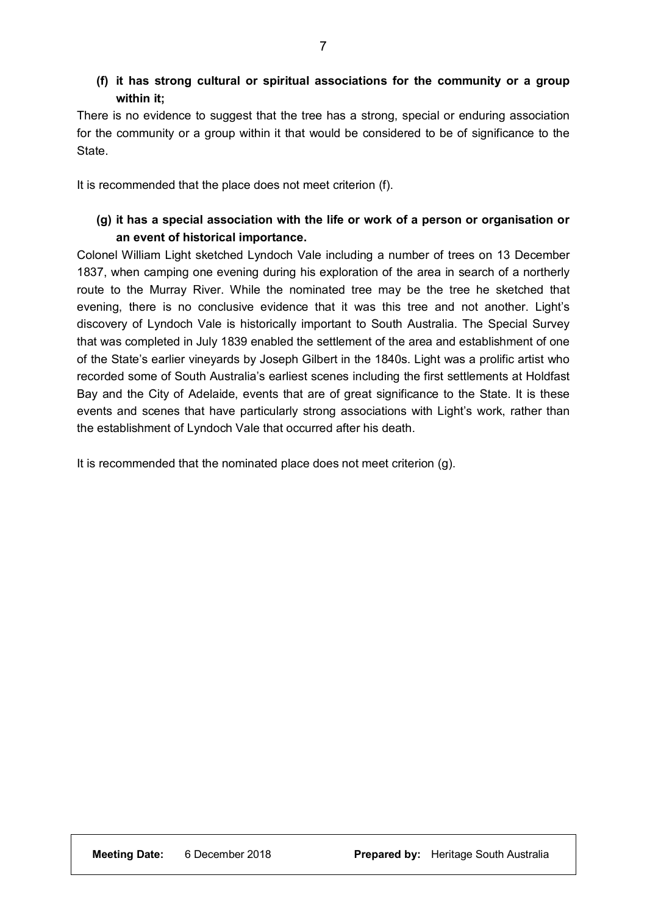# **(f) it has strong cultural or spiritual associations for the community or a group within it;**

There is no evidence to suggest that the tree has a strong, special or enduring association for the community or a group within it that would be considered to be of significance to the **State** 

It is recommended that the place does not meet criterion (f).

## **(g) it has a special association with the life or work of a person or organisation or an event of historical importance.**

Colonel William Light sketched Lyndoch Vale including a number of trees on 13 December 1837, when camping one evening during his exploration of the area in search of a northerly route to the Murray River. While the nominated tree may be the tree he sketched that evening, there is no conclusive evidence that it was this tree and not another. Light's discovery of Lyndoch Vale is historically important to South Australia. The Special Survey that was completed in July 1839 enabled the settlement of the area and establishment of one of the State's earlier vineyards by Joseph Gilbert in the 1840s. Light was a prolific artist who recorded some of South Australia's earliest scenes including the first settlements at Holdfast Bay and the City of Adelaide, events that are of great significance to the State. It is these events and scenes that have particularly strong associations with Light's work, rather than the establishment of Lyndoch Vale that occurred after his death.

It is recommended that the nominated place does not meet criterion (g).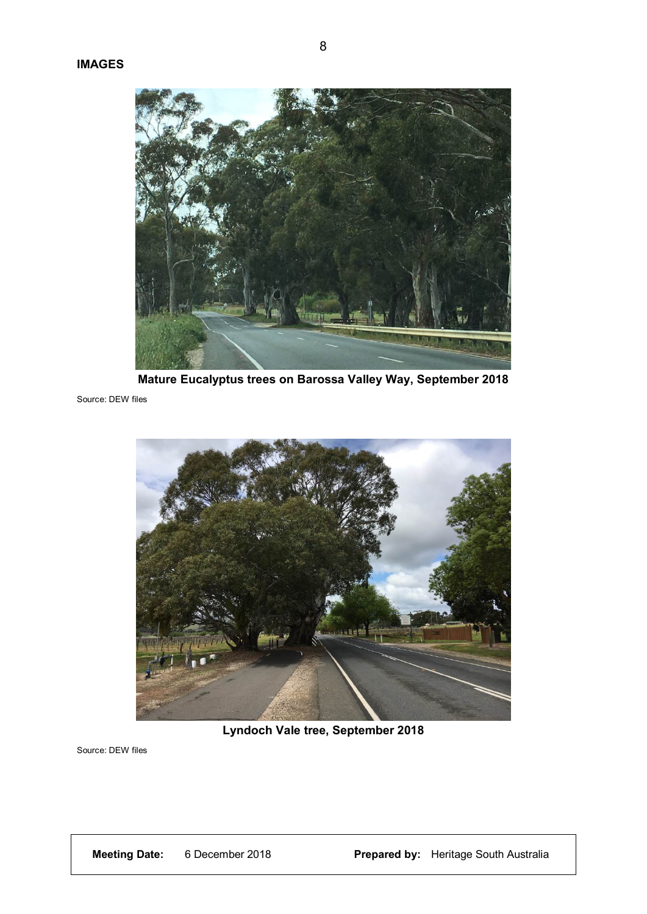

**Mature Eucalyptus trees on Barossa Valley Way, September 2018**

Source: DEW files



**Lyndoch Vale tree, September 2018**

Source: DEW files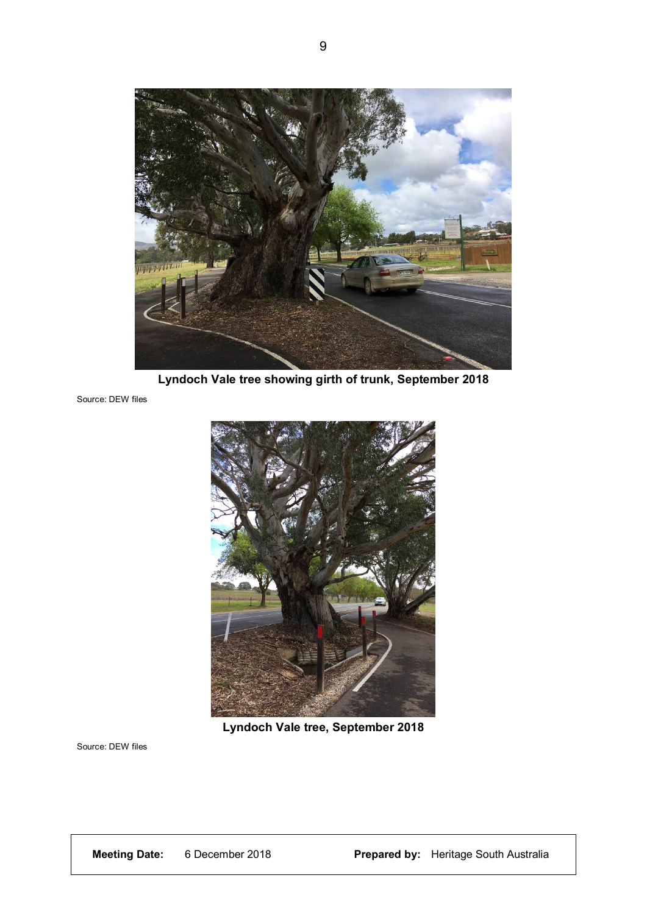

**Lyndoch Vale tree showing girth of trunk, September 2018**

Source: DEW files



**Lyndoch Vale tree, September 2018**

Source: DEW files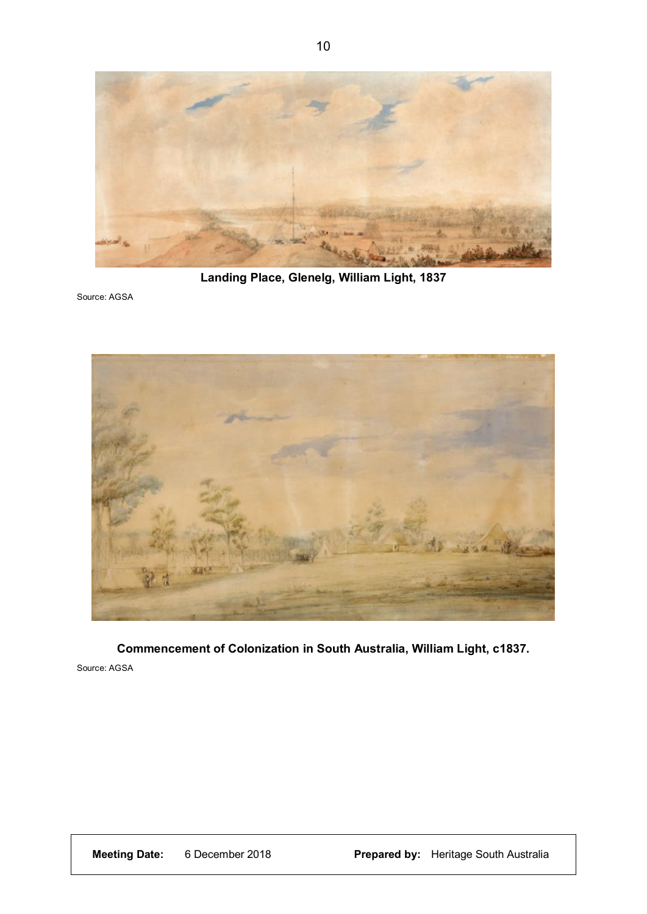

**Landing Place, Glenelg, William Light, 1837**

Source: AGSA



**Commencement of Colonization in South Australia, William Light, c1837.**

Source: AGSA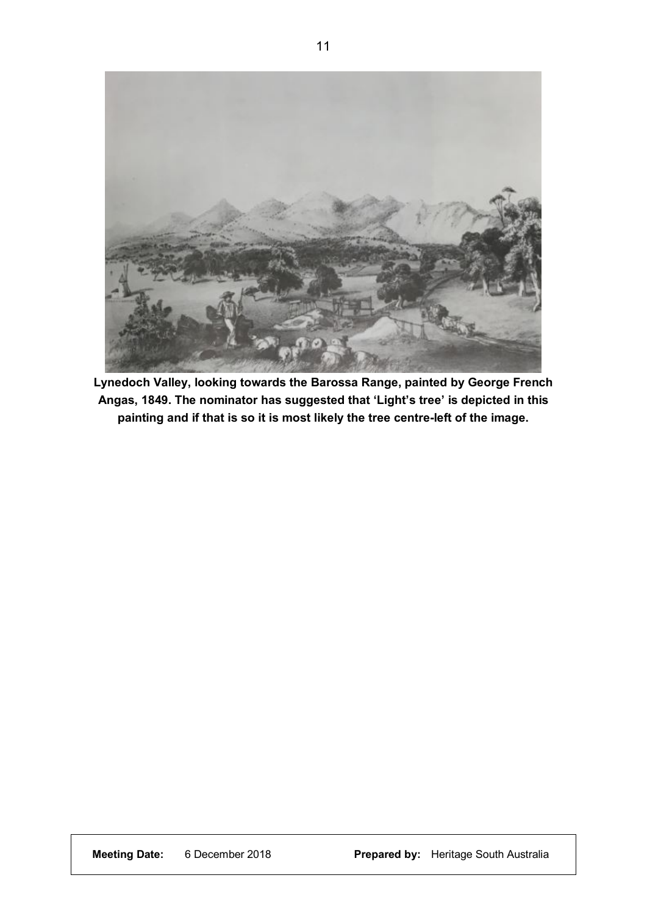

**Lynedoch Valley, looking towards the Barossa Range, painted by George French Angas, 1849. The nominator has suggested that 'Light's tree' is depicted in this painting and if that is so it is most likely the tree centre-left of the image.**